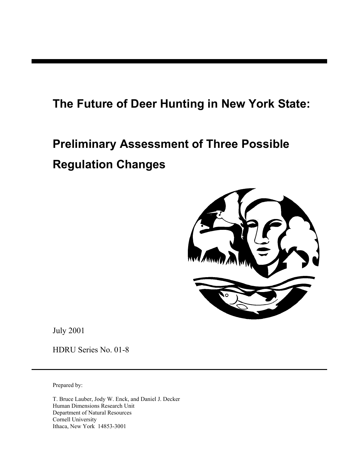## **The Future of Deer Hunting in New York State:**

# **Preliminary Assessment of Three Possible Regulation Changes**



July 2001

HDRU Series No. 01-8

Prepared by:

T. Bruce Lauber, Jody W. Enck, and Daniel J. Decker Human Dimensions Research Unit Department of Natural Resources Cornell University Ithaca, New York 14853-3001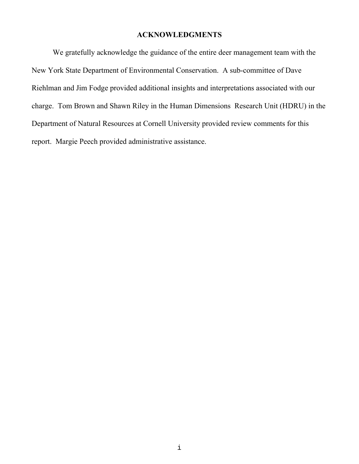#### **ACKNOWLEDGMENTS**

We gratefully acknowledge the guidance of the entire deer management team with the New York State Department of Environmental Conservation. A sub-committee of Dave Riehlman and Jim Fodge provided additional insights and interpretations associated with our charge. Tom Brown and Shawn Riley in the Human Dimensions Research Unit (HDRU) in the Department of Natural Resources at Cornell University provided review comments for this report. Margie Peech provided administrative assistance.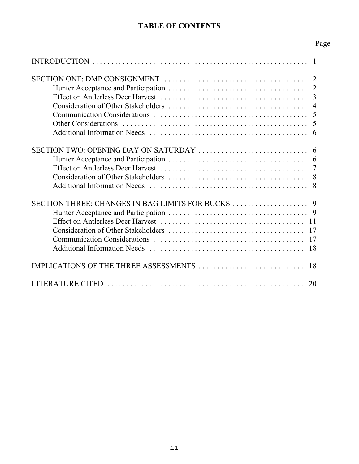#### **TABLE OF CONTENTS**

## Page

| 2<br>$\overline{3}$<br>$\overline{4}$<br>5<br>5<br>6                             |
|----------------------------------------------------------------------------------|
| SECTION TWO: OPENING DAY ON SATURDAY<br>6<br>6<br>$\overline{7}$<br>8<br>8       |
| SECTION THREE: CHANGES IN BAG LIMITS FOR BUCKS<br>9<br>9<br>11<br>17<br>17<br>18 |
| IMPLICATIONS OF THE THREE ASSESSMENTS<br>18                                      |
| LITERATURE CITED<br>20                                                           |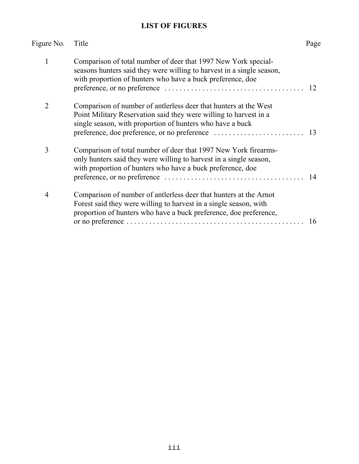### **LIST OF FIGURES**

| Figure No.     | Title                                                                                                                                                                                                       | Page |
|----------------|-------------------------------------------------------------------------------------------------------------------------------------------------------------------------------------------------------------|------|
| 1              | Comparison of total number of deer that 1997 New York special-<br>seasons hunters said they were willing to harvest in a single season,<br>with proportion of hunters who have a buck preference, doe       | 12   |
| 2              | Comparison of number of antierless deer that hunters at the West<br>Point Military Reservation said they were willing to harvest in a<br>single season, with proportion of hunters who have a buck          |      |
| 3              | Comparison of total number of deer that 1997 New York firearms-<br>only hunters said they were willing to harvest in a single season,<br>with proportion of hunters who have a buck preference, doe         | 14   |
| $\overline{4}$ | Comparison of number of antierless deer that hunters at the Arnot<br>Forest said they were willing to harvest in a single season, with<br>proportion of hunters who have a buck preference, doe preference, | 16   |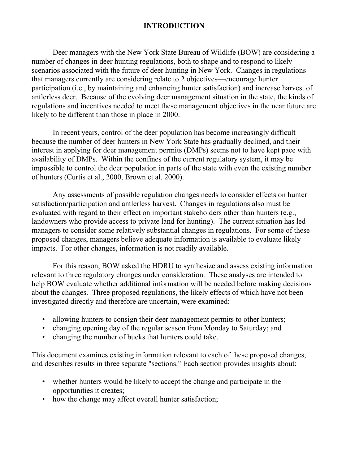#### **INTRODUCTION**

Deer managers with the New York State Bureau of Wildlife (BOW) are considering a number of changes in deer hunting regulations, both to shape and to respond to likely scenarios associated with the future of deer hunting in New York. Changes in regulations that managers currently are considering relate to 2 objectives—encourage hunter participation (i.e., by maintaining and enhancing hunter satisfaction) and increase harvest of antlerless deer. Because of the evolving deer management situation in the state, the kinds of regulations and incentives needed to meet these management objectives in the near future are likely to be different than those in place in 2000.

In recent years, control of the deer population has become increasingly difficult because the number of deer hunters in New York State has gradually declined, and their interest in applying for deer management permits (DMPs) seems not to have kept pace with availability of DMPs. Within the confines of the current regulatory system, it may be impossible to control the deer population in parts of the state with even the existing number of hunters (Curtis et al., 2000, Brown et al. 2000).

Any assessments of possible regulation changes needs to consider effects on hunter satisfaction/participation and antlerless harvest. Changes in regulations also must be evaluated with regard to their effect on important stakeholders other than hunters (e.g., landowners who provide access to private land for hunting). The current situation has led managers to consider some relatively substantial changes in regulations. For some of these proposed changes, managers believe adequate information is available to evaluate likely impacts. For other changes, information is not readily available.

For this reason, BOW asked the HDRU to synthesize and assess existing information relevant to three regulatory changes under consideration. These analyses are intended to help BOW evaluate whether additional information will be needed before making decisions about the changes. Three proposed regulations, the likely effects of which have not been investigated directly and therefore are uncertain, were examined:

- allowing hunters to consign their deer management permits to other hunters;
- changing opening day of the regular season from Monday to Saturday; and
- changing the number of bucks that hunters could take.

This document examines existing information relevant to each of these proposed changes, and describes results in three separate "sections." Each section provides insights about:

- whether hunters would be likely to accept the change and participate in the opportunities it creates;
- how the change may affect overall hunter satisfaction;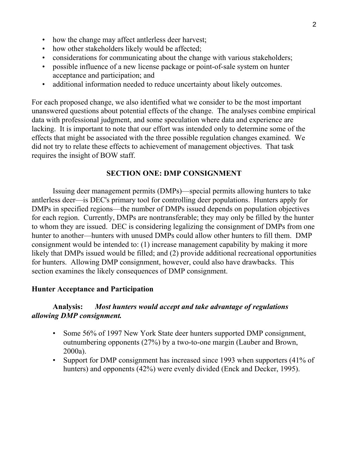- how the change may affect antlerless deer harvest;
- how other stakeholders likely would be affected;
- considerations for communicating about the change with various stakeholders;
- possible influence of a new license package or point-of-sale system on hunter acceptance and participation; and
- additional information needed to reduce uncertainty about likely outcomes.

For each proposed change, we also identified what we consider to be the most important unanswered questions about potential effects of the change. The analyses combine empirical data with professional judgment, and some speculation where data and experience are lacking. It is important to note that our effort was intended only to determine some of the effects that might be associated with the three possible regulation changes examined. We did not try to relate these effects to achievement of management objectives. That task requires the insight of BOW staff.

#### **SECTION ONE: DMP CONSIGNMENT**

Issuing deer management permits (DMPs)—special permits allowing hunters to take antlerless deer—is DEC's primary tool for controlling deer populations. Hunters apply for DMPs in specified regions—the number of DMPs issued depends on population objectives for each region. Currently, DMPs are nontransferable; they may only be filled by the hunter to whom they are issued. DEC is considering legalizing the consignment of DMPs from one hunter to another—hunters with unused DMPs could allow other hunters to fill them. DMP consignment would be intended to: (1) increase management capability by making it more likely that DMPs issued would be filled; and (2) provide additional recreational opportunities for hunters. Allowing DMP consignment, however, could also have drawbacks. This section examines the likely consequences of DMP consignment.

#### **Hunter Acceptance and Participation**

#### **Analysis:** *Most hunters would accept and take advantage of regulations allowing DMP consignment.*

- Some 56% of 1997 New York State deer hunters supported DMP consignment, outnumbering opponents (27%) by a two-to-one margin (Lauber and Brown, 2000a).
- Support for DMP consignment has increased since 1993 when supporters (41% of hunters) and opponents (42%) were evenly divided (Enck and Decker, 1995).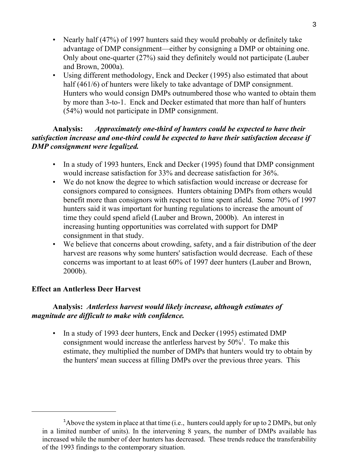- Nearly half (47%) of 1997 hunters said they would probably or definitely take advantage of DMP consignment—either by consigning a DMP or obtaining one. Only about one-quarter (27%) said they definitely would not participate (Lauber and Brown, 2000a).
- Using different methodology, Enck and Decker (1995) also estimated that about half (461/6) of hunters were likely to take advantage of DMP consignment. Hunters who would consign DMPs outnumbered those who wanted to obtain them by more than 3-to-1. Enck and Decker estimated that more than half of hunters (54%) would not participate in DMP consignment.

#### **Analysis:** *Approximately one-third of hunters could be expected to have their satisfaction increase and one-third could be expected to have their satisfaction decease if DMP consignment were legalized.*

- In a study of 1993 hunters, Enck and Decker (1995) found that DMP consignment would increase satisfaction for 33% and decrease satisfaction for 36%.
- We do not know the degree to which satisfaction would increase or decrease for consignors compared to consignees. Hunters obtaining DMPs from others would benefit more than consignors with respect to time spent afield. Some 70% of 1997 hunters said it was important for hunting regulations to increase the amount of time they could spend afield (Lauber and Brown, 2000b). An interest in increasing hunting opportunities was correlated with support for DMP consignment in that study.
- We believe that concerns about crowding, safety, and a fair distribution of the deer harvest are reasons why some hunters' satisfaction would decrease. Each of these concerns was important to at least 60% of 1997 deer hunters (Lauber and Brown, 2000b).

#### **Effect an Antlerless Deer Harvest**

#### **Analysis:** *Antlerless harvest would likely increase, although estimates of magnitude are difficult to make with confidence.*

• In a study of 1993 deer hunters, Enck and Decker (1995) estimated DMP consignment would increase the antlerless harvest by  $50\%$ <sup>1</sup>. To make this estimate, they multiplied the number of DMPs that hunters would try to obtain by the hunters' mean success at filling DMPs over the previous three years. This

 $1$ Above the system in place at that time (i.e., hunters could apply for up to 2 DMPs, but only in a limited number of units). In the intervening 8 years, the number of DMPs available has increased while the number of deer hunters has decreased. These trends reduce the transferability of the 1993 findings to the contemporary situation.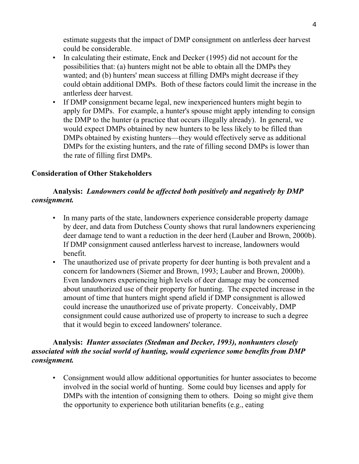estimate suggests that the impact of DMP consignment on antlerless deer harvest could be considerable.

- In calculating their estimate, Enck and Decker (1995) did not account for the possibilities that: (a) hunters might not be able to obtain all the DMPs they wanted; and (b) hunters' mean success at filling DMPs might decrease if they could obtain additional DMPs. Both of these factors could limit the increase in the antlerless deer harvest.
- If DMP consignment became legal, new inexperienced hunters might begin to apply for DMPs. For example, a hunter's spouse might apply intending to consign the DMP to the hunter (a practice that occurs illegally already). In general, we would expect DMPs obtained by new hunters to be less likely to be filled than DMPs obtained by existing hunters—they would effectively serve as additional DMPs for the existing hunters, and the rate of filling second DMPs is lower than the rate of filling first DMPs.

#### **Consideration of Other Stakeholders**

#### **Analysis:** *Landowners could be affected both positively and negatively by DMP consignment.*

- In many parts of the state, landowners experience considerable property damage by deer, and data from Dutchess County shows that rural landowners experiencing deer damage tend to want a reduction in the deer herd (Lauber and Brown, 2000b). If DMP consignment caused antlerless harvest to increase, landowners would benefit.
- The unauthorized use of private property for deer hunting is both prevalent and a concern for landowners (Siemer and Brown, 1993; Lauber and Brown, 2000b). Even landowners experiencing high levels of deer damage may be concerned about unauthorized use of their property for hunting. The expected increase in the amount of time that hunters might spend afield if DMP consignment is allowed could increase the unauthorized use of private property. Conceivably, DMP consignment could cause authorized use of property to increase to such a degree that it would begin to exceed landowners' tolerance.

#### **Analysis:** *Hunter associates (Stedman and Decker, 1993), nonhunters closely associated with the social world of hunting, would experience some benefits from DMP consignment.*

• Consignment would allow additional opportunities for hunter associates to become involved in the social world of hunting. Some could buy licenses and apply for DMPs with the intention of consigning them to others. Doing so might give them the opportunity to experience both utilitarian benefits (e.g., eating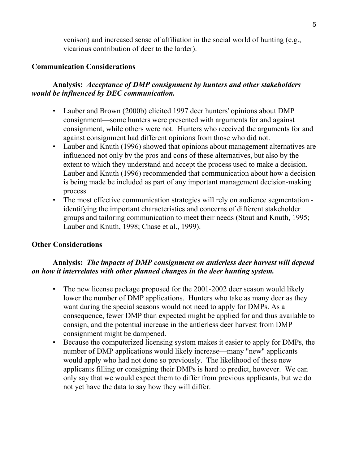venison) and increased sense of affiliation in the social world of hunting (e.g., vicarious contribution of deer to the larder).

#### **Communication Considerations**

#### **Analysis:** *Acceptance of DMP consignment by hunters and other stakeholders would be influenced by DEC communication.*

- Lauber and Brown (2000b) elicited 1997 deer hunters' opinions about DMP consignment—some hunters were presented with arguments for and against consignment, while others were not. Hunters who received the arguments for and against consignment had different opinions from those who did not.
- Lauber and Knuth (1996) showed that opinions about management alternatives are influenced not only by the pros and cons of these alternatives, but also by the extent to which they understand and accept the process used to make a decision. Lauber and Knuth (1996) recommended that communication about how a decision is being made be included as part of any important management decision-making process.
- The most effective communication strategies will rely on audience segmentation identifying the important characteristics and concerns of different stakeholder groups and tailoring communication to meet their needs (Stout and Knuth, 1995; Lauber and Knuth, 1998; Chase et al., 1999).

#### **Other Considerations**

#### **Analysis:** *The impacts of DMP consignment on antlerless deer harvest will depend on how it interrelates with other planned changes in the deer hunting system.*

- The new license package proposed for the 2001-2002 deer season would likely lower the number of DMP applications. Hunters who take as many deer as they want during the special seasons would not need to apply for DMPs. As a consequence, fewer DMP than expected might be applied for and thus available to consign, and the potential increase in the antlerless deer harvest from DMP consignment might be dampened.
- Because the computerized licensing system makes it easier to apply for DMPs, the number of DMP applications would likely increase—many "new" applicants would apply who had not done so previously. The likelihood of these new applicants filling or consigning their DMPs is hard to predict, however. We can only say that we would expect them to differ from previous applicants, but we do not yet have the data to say how they will differ.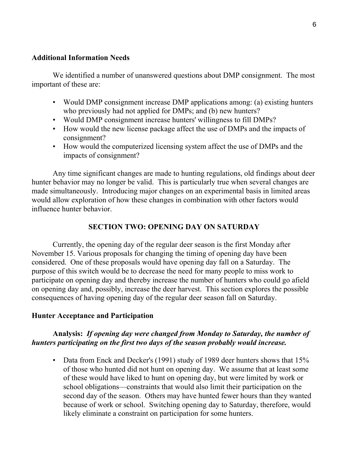#### **Additional Information Needs**

We identified a number of unanswered questions about DMP consignment. The most important of these are:

- Would DMP consignment increase DMP applications among: (a) existing hunters who previously had not applied for DMPs; and (b) new hunters?
- Would DMP consignment increase hunters' willingness to fill DMPs?
- How would the new license package affect the use of DMPs and the impacts of consignment?
- How would the computerized licensing system affect the use of DMPs and the impacts of consignment?

Any time significant changes are made to hunting regulations, old findings about deer hunter behavior may no longer be valid. This is particularly true when several changes are made simultaneously. Introducing major changes on an experimental basis in limited areas would allow exploration of how these changes in combination with other factors would influence hunter behavior.

#### **SECTION TWO: OPENING DAY ON SATURDAY**

Currently, the opening day of the regular deer season is the first Monday after November 15. Various proposals for changing the timing of opening day have been considered. One of these proposals would have opening day fall on a Saturday. The purpose of this switch would be to decrease the need for many people to miss work to participate on opening day and thereby increase the number of hunters who could go afield on opening day and, possibly, increase the deer harvest. This section explores the possible consequences of having opening day of the regular deer season fall on Saturday.

#### **Hunter Acceptance and Participation**

#### **Analysis:** *If opening day were changed from Monday to Saturday, the number of hunters participating on the first two days of the season probably would increase.*

• Data from Enck and Decker's (1991) study of 1989 deer hunters shows that 15% of those who hunted did not hunt on opening day. We assume that at least some of these would have liked to hunt on opening day, but were limited by work or school obligations—constraints that would also limit their participation on the second day of the season. Others may have hunted fewer hours than they wanted because of work or school. Switching opening day to Saturday, therefore, would likely eliminate a constraint on participation for some hunters.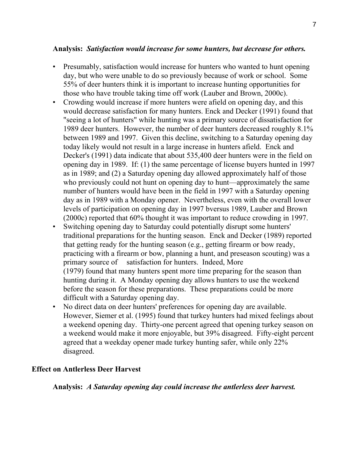#### **Analysis:** *Satisfaction would increase for some hunters, but decrease for others.*

- Presumably, satisfaction would increase for hunters who wanted to hunt opening day, but who were unable to do so previously because of work or school. Some 55% of deer hunters think it is important to increase hunting opportunities for those who have trouble taking time off work (Lauber and Brown, 2000c).
- Crowding would increase if more hunters were afield on opening day, and this would decrease satisfaction for many hunters. Enck and Decker (1991) found that "seeing a lot of hunters" while hunting was a primary source of dissatisfaction for 1989 deer hunters. However, the number of deer hunters decreased roughly 8.1% between 1989 and 1997. Given this decline, switching to a Saturday opening day today likely would not result in a large increase in hunters afield. Enck and Decker's (1991) data indicate that about 535,400 deer hunters were in the field on opening day in 1989. If: (1) the same percentage of license buyers hunted in 1997 as in 1989; and (2) a Saturday opening day allowed approximately half of those who previously could not hunt on opening day to hunt—approximately the same number of hunters would have been in the field in 1997 with a Saturday opening day as in 1989 with a Monday opener. Nevertheless, even with the overall lower levels of participation on opening day in 1997 bversus 1989, Lauber and Brown (2000c) reported that 60% thought it was important to reduce crowding in 1997.
- Switching opening day to Saturday could potentially disrupt some hunters' traditional preparations for the hunting season. Enck and Decker (1989) reported that getting ready for the hunting season (e.g., getting firearm or bow ready, practicing with a firearm or bow, planning a hunt, and preseason scouting) was a primary source of satisfaction for hunters. Indeed, More (1979) found that many hunters spent more time preparing for the season than hunting during it. A Monday opening day allows hunters to use the weekend before the season for these preparations. These preparations could be more difficult with a Saturday opening day.
- No direct data on deer hunters' preferences for opening day are available. However, Siemer et al. (1995) found that turkey hunters had mixed feelings about a weekend opening day. Thirty-one percent agreed that opening turkey season on a weekend would make it more enjoyable, but 39% disagreed. Fifty-eight percent agreed that a weekday opener made turkey hunting safer, while only 22% disagreed.

#### **Effect on Antlerless Deer Harvest**

**Analysis:** *A Saturday opening day could increase the antlerless deer harvest.*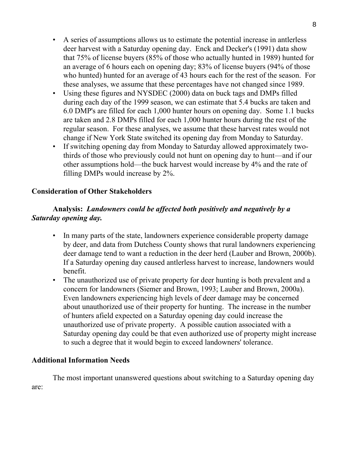- A series of assumptions allows us to estimate the potential increase in antlerless deer harvest with a Saturday opening day. Enck and Decker's (1991) data show that 75% of license buyers (85% of those who actually hunted in 1989) hunted for an average of 6 hours each on opening day; 83% of license buyers (94% of those who hunted) hunted for an average of 43 hours each for the rest of the season. For these analyses, we assume that these percentages have not changed since 1989.
- Using these figures and NYSDEC (2000) data on buck tags and DMPs filled during each day of the 1999 season, we can estimate that 5.4 bucks are taken and 6.0 DMP's are filled for each 1,000 hunter hours on opening day. Some 1.1 bucks are taken and 2.8 DMPs filled for each 1,000 hunter hours during the rest of the regular season. For these analyses, we assume that these harvest rates would not change if New York State switched its opening day from Monday to Saturday.
- If switching opening day from Monday to Saturday allowed approximately twothirds of those who previously could not hunt on opening day to hunt—and if our other assumptions hold—the buck harvest would increase by 4% and the rate of filling DMPs would increase by 2%.

#### **Consideration of Other Stakeholders**

#### **Analysis:** *Landowners could be affected both positively and negatively by a Saturday opening day.*

- In many parts of the state, landowners experience considerable property damage by deer, and data from Dutchess County shows that rural landowners experiencing deer damage tend to want a reduction in the deer herd (Lauber and Brown, 2000b). If a Saturday opening day caused antlerless harvest to increase, landowners would benefit.
- The unauthorized use of private property for deer hunting is both prevalent and a concern for landowners (Siemer and Brown, 1993; Lauber and Brown, 2000a). Even landowners experiencing high levels of deer damage may be concerned about unauthorized use of their property for hunting. The increase in the number of hunters afield expected on a Saturday opening day could increase the unauthorized use of private property. A possible caution associated with a Saturday opening day could be that even authorized use of property might increase to such a degree that it would begin to exceed landowners' tolerance.

#### **Additional Information Needs**

The most important unanswered questions about switching to a Saturday opening day are: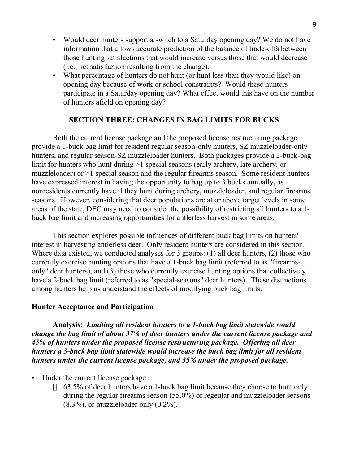- Would deer hunters support a switch to a Saturday opening day? We do not have information that allows accurate prediction of the balance of trade-offs between those hunting satisfactions that would increase versus those that would decrease (i.e., net satisfaction resulting from the change).
- What percentage of hunters do not hunt (or hunt less than they would like) on opening day because of work or school constraints? Would these hunters participate in a Saturday opening day? What effect would this have on the number of hunters afield on opening day?

#### **SECTION THREE: CHANGES IN BAG LIMITS FOR BUCKS**

Both the current license package and the proposed license restructuring package provide a 1-buck bag limit for resident regular season-only hunters, SZ muzzleloader-only hunters, and regular season-SZ muzzleloader hunters. Both packages provide a 2-buck-bag limit for hunters who hunt during >1 special seasons (early archery, late archery, or muzzleloader) or >1 special season and the regular firearms season. Some resident hunters have expressed interest in having the opportunity to bag up to 3 bucks annually, as nonresidents currently have if they hunt during archery, muzzleloader, and regular firearms seasons. However, considering that deer populations are at or above target levels in some areas of the state, DEC may need to consider the possibility of restricting all hunters to a 1 buck bag limit and increasing opportunities for antlerless harvest in some areas.

This section explores possible influences of different buck bag limits on hunters' interest in harvesting antlerless deer. Only resident hunters are considered in this section. Where data existed, we conducted analyses for 3 groups: (1) all deer hunters, (2) those who currently exercise hunting options that have a 1-buck bag limit (referred to as "firearmsonly" deer hunters), and (3) those who currently exercise hunting options that collectively have a 2-buck bag limit (referred to as "special-seasons" deer hunters). These distinctions among hunters help us understand the effects of modifying buck bag limits.

#### **Hunter Acceptance and Participation**

**Analysis:** *Limiting all resident hunters to a 1-buck bag limit statewide would change the bag limit of about 37% of deer hunters under the current license package and 45% of hunters under the proposed license restructuring package. Offering all deer hunters a 3-buck bag limit statewide would increase the buck bag limit for all resident hunters under the current license package, and 55% under the proposed package.*

• Under the current license package:

63.5% of deer hunters have a 1-buck bag limit because they choose to hunt only during the regular firearms season (55.0%) or regeular and muzzleloader seasons  $(8.3\%)$ , or muzzleloader only  $(0.2\%)$ .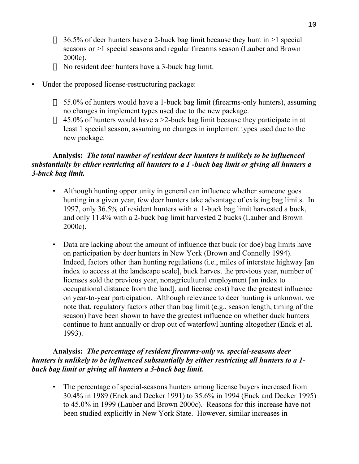36.5% of deer hunters have a 2-buck bag limit because they hunt in >1 special seasons or >1 special seasons and regular firearms season (Lauber and Brown 2000c).

No resident deer hunters have a 3-buck bag limit.

• Under the proposed license-restructuring package:

55.0% of hunters would have a 1-buck bag limit (firearms-only hunters), assuming no changes in implement types used due to the new package. 45.0% of hunters would have a >2-buck bag limit because they participate in at least 1 special season, assuming no changes in implement types used due to the new package.

#### **Analysis:** *The total number of resident deer hunters is unlikely to be influenced substantially by either restricting all hunters to a 1 -buck bag limit or giving all hunters a 3-buck bag limit.*

- Although hunting opportunity in general can influence whether someone goes hunting in a given year, few deer hunters take advantage of existing bag limits. In 1997, only 36.5% of resident hunters with a 1-buck bag limit harvested a buck, and only 11.4% with a 2-buck bag limit harvested 2 bucks (Lauber and Brown 2000c).
- Data are lacking about the amount of influence that buck (or doe) bag limits have on participation by deer hunters in New York (Brown and Connelly 1994). Indeed, factors other than hunting regulations (i.e., miles of interstate highway [an index to access at the landscape scale], buck harvest the previous year, number of licenses sold the previous year, nonagricultural employment [an index to occupational distance from the land], and license cost) have the greatest influence on year-to-year participation. Although relevance to deer hunting is unknown, we note that, regulatory factors other than bag limit (e.g., season length, timing of the season) have been shown to have the greatest influence on whether duck hunters continue to hunt annually or drop out of waterfowl hunting altogether (Enck et al. 1993).

#### **Analysis:** *The percentage of resident firearms-only vs. special-seasons deer hunters is unlikely to be influenced substantially by either restricting all hunters to a 1 buck bag limit or giving all hunters a 3-buck bag limit.*

• The percentage of special-seasons hunters among license buyers increased from 30.4% in 1989 (Enck and Decker 1991) to 35.6% in 1994 (Enck and Decker 1995) to 45.0% in 1999 (Lauber and Brown 2000c). Reasons for this increase have not been studied explicitly in New York State. However, similar increases in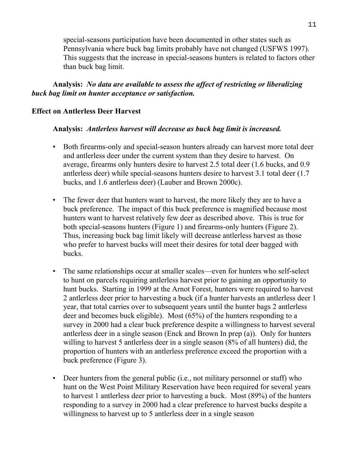special-seasons participation have been documented in other states such as Pennsylvania where buck bag limits probably have not changed (USFWS 1997). This suggests that the increase in special-seasons hunters is related to factors other than buck bag limit.

**Analysis:** *No data are available to assess the affect of restricting or liberalizing buck bag limit on hunter acceptance or satisfaction.*

#### **Effect on Antlerless Deer Harvest**

#### **Analysis:** *Antlerless harvest will decrease as buck bag limit is increased.*

- Both firearms-only and special-season hunters already can harvest more total deer and antlerless deer under the current system than they desire to harvest. On average, firearms only hunters desire to harvest 2.5 total deer (1.6 bucks, and 0.9 antlerless deer) while special-seasons hunters desire to harvest 3.1 total deer (1.7 bucks, and 1.6 antlerless deer) (Lauber and Brown 2000c).
- The fewer deer that hunters want to harvest, the more likely they are to have a buck preference. The impact of this buck preference is magnified because most hunters want to harvest relatively few deer as described above. This is true for both special-seasons hunters (Figure 1) and firearms-only hunters (Figure 2). Thus, increasing buck bag limit likely will decrease antlerless harvest as those who prefer to harvest bucks will meet their desires for total deer bagged with bucks.
- The same relationships occur at smaller scales—even for hunters who self-select to hunt on parcels requiring antlerless harvest prior to gaining an opportunity to hunt bucks. Starting in 1999 at the Arnot Forest, hunters were required to harvest 2 antlerless deer prior to harvesting a buck (if a hunter harvests an antlerless deer 1 year, that total carries over to subsequent years until the hunter bags 2 antlerless deer and becomes buck eligible). Most (65%) of the hunters responding to a survey in 2000 had a clear buck preference despite a willingness to harvest several antlerless deer in a single season (Enck and Brown In prep (a)). Only for hunters willing to harvest 5 antlerless deer in a single season (8% of all hunters) did, the proportion of hunters with an antlerless preference exceed the proportion with a buck preference (Figure 3).
- Deer hunters from the general public (i.e., not military personnel or staff) who hunt on the West Point Military Reservation have been required for several years to harvest 1 antlerless deer prior to harvesting a buck. Most (89%) of the hunters responding to a survey in 2000 had a clear preference to harvest bucks despite a willingness to harvest up to 5 antlerless deer in a single season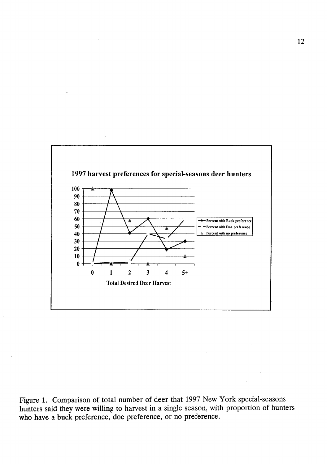

Figure 1. Comparison of total number of deer that 1997 New York special-seasons hunters said they were willing to harvest in a single season, with proportion of hunters who have a buck preference, doe preference, or no preference.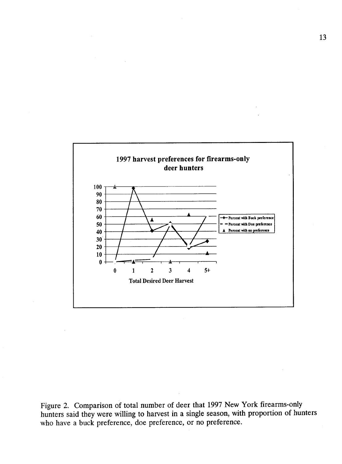

Figure 2. Comparison of total number of deer that 1997 New York firearms-only hunters said they were willing to harvest in a single season, with proportion of hunters who have a buck preference, doe preference, or no preference.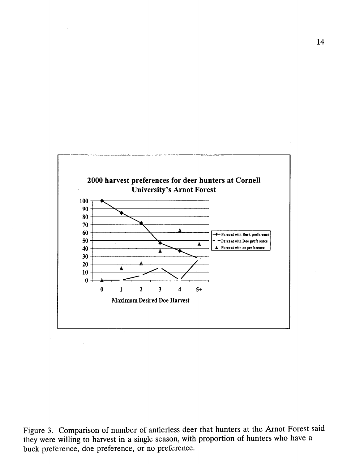

Figure 3. Comparison of number of antierless deer that hunters at the Arnot Forest said they were willing to harvest in a single season, with proportion of hunters who have a buck preference, doe preference, or no preference.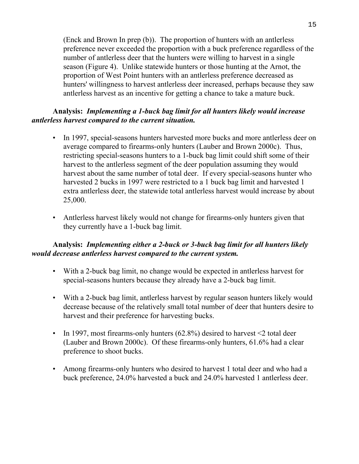(Enck and Brown In prep (b)). The proportion of hunters with an antlerless preference never exceeded the proportion with a buck preference regardless of the number of antlerless deer that the hunters were willing to harvest in a single season (Figure 4). Unlike statewide hunters or those hunting at the Arnot, the proportion of West Point hunters with an antlerless preference decreased as hunters' willingness to harvest antlerless deer increased, perhaps because they saw antlerless harvest as an incentive for getting a chance to take a mature buck.

#### **Analysis:** *Implementing a 1-buck bag limit for all hunters likely would increase antlerless harvest compared to the current situation.*

- In 1997, special-seasons hunters harvested more bucks and more antlerless deer on average compared to firearms-only hunters (Lauber and Brown 2000c). Thus, restricting special-seasons hunters to a 1-buck bag limit could shift some of their harvest to the antlerless segment of the deer population assuming they would harvest about the same number of total deer. If every special-seasons hunter who harvested 2 bucks in 1997 were restricted to a 1 buck bag limit and harvested 1 extra antlerless deer, the statewide total antlerless harvest would increase by about 25,000.
- Antlerless harvest likely would not change for firearms-only hunters given that they currently have a 1-buck bag limit.

#### **Analysis:** *Implementing either a 2-buck or 3-buck bag limit for all hunters likely would decrease antlerless harvest compared to the current system.*

- With a 2-buck bag limit, no change would be expected in antlerless harvest for special-seasons hunters because they already have a 2-buck bag limit.
- With a 2-buck bag limit, antlerless harvest by regular season hunters likely would decrease because of the relatively small total number of deer that hunters desire to harvest and their preference for harvesting bucks.
- In 1997, most firearms-only hunters  $(62.8\%)$  desired to harvest  $\leq$  total deer (Lauber and Brown 2000c). Of these firearms-only hunters, 61.6% had a clear preference to shoot bucks.
- Among firearms-only hunters who desired to harvest 1 total deer and who had a buck preference, 24.0% harvested a buck and 24.0% harvested 1 antlerless deer.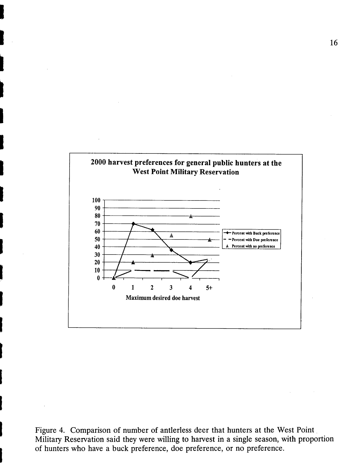

Figure 4. Comparison of number of antierless deer that hunters at the West Point Military Reservation said they were willing to harvest in a single season, with proportion of hunters who have a buck preference, doe preference, or no preference.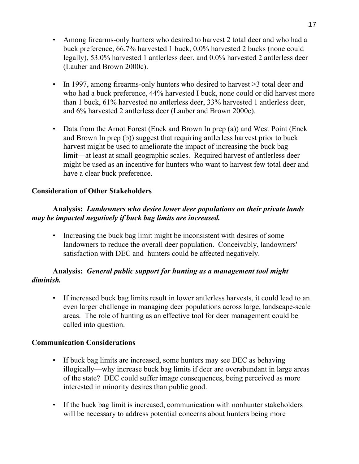- Among firearms-only hunters who desired to harvest 2 total deer and who had a buck preference, 66.7% harvested 1 buck, 0.0% harvested 2 bucks (none could legally), 53.0% harvested 1 antlerless deer, and 0.0% harvested 2 antlerless deer (Lauber and Brown 2000c).
- In 1997, among firearms-only hunters who desired to harvest >3 total deer and who had a buck preference, 44% harvested I buck, none could or did harvest more than 1 buck, 61% harvested no antlerless deer, 33% harvested 1 antlerless deer, and 6% harvested 2 antlerless deer (Lauber and Brown 2000c).
- Data from the Arnot Forest (Enck and Brown In prep (a)) and West Point (Enck and Brown In prep (b)) suggest that requiring antlerless harvest prior to buck harvest might be used to ameliorate the impact of increasing the buck bag limit—at least at small geographic scales. Required harvest of antlerless deer might be used as an incentive for hunters who want to harvest few total deer and have a clear buck preference.

#### **Consideration of Other Stakeholders**

#### **Analysis:** *Landowners who desire lower deer populations on their private lands may be impacted negatively if buck bag limits are increased.*

• Increasing the buck bag limit might be inconsistent with desires of some landowners to reduce the overall deer population. Conceivably, landowners' satisfaction with DEC and hunters could be affected negatively.

#### **Analysis:** *General public support for hunting as a management tool might diminish.*

• If increased buck bag limits result in lower antlerless harvests, it could lead to an even larger challenge in managing deer populations across large, landscape-scale areas. The role of hunting as an effective tool for deer management could be called into question.

#### **Communication Considerations**

- If buck bag limits are increased, some hunters may see DEC as behaving illogically—why increase buck bag limits if deer are overabundant in large areas of the state? DEC could suffer image consequences, being perceived as more interested in minority desires than public good.
- If the buck bag limit is increased, communication with nonhunter stakeholders will be necessary to address potential concerns about hunters being more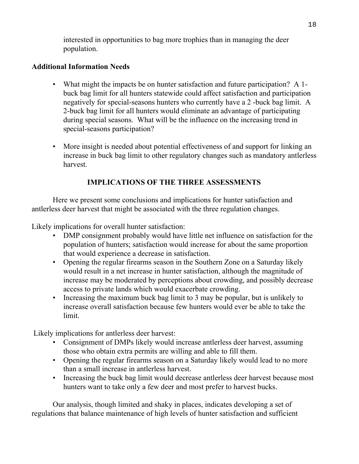interested in opportunities to bag more trophies than in managing the deer population.

#### **Additional Information Needs**

- What might the impacts be on hunter satisfaction and future participation? A 1buck bag limit for all hunters statewide could affect satisfaction and participation negatively for special-seasons hunters who currently have a 2 -buck bag limit. A 2-buck bag limit for all hunters would eliminate an advantage of participating during special seasons. What will be the influence on the increasing trend in special-seasons participation?
- More insight is needed about potential effectiveness of and support for linking an increase in buck bag limit to other regulatory changes such as mandatory antlerless harvest.

#### **IMPLICATIONS OF THE THREE ASSESSMENTS**

Here we present some conclusions and implications for hunter satisfaction and antlerless deer harvest that might be associated with the three regulation changes.

Likely implications for overall hunter satisfaction:

- DMP consignment probably would have little net influence on satisfaction for the population of hunters; satisfaction would increase for about the same proportion that would experience a decrease in satisfaction.
- Opening the regular firearms season in the Southern Zone on a Saturday likely would result in a net increase in hunter satisfaction, although the magnitude of increase may be moderated by perceptions about crowding, and possibly decrease access to private lands which would exacerbate crowding.
- Increasing the maximum buck bag limit to 3 may be popular, but is unlikely to increase overall satisfaction because few hunters would ever be able to take the limit.

Likely implications for antlerless deer harvest:

- Consignment of DMPs likely would increase antlerless deer harvest, assuming those who obtain extra permits are willing and able to fill them.
- Opening the regular firearms season on a Saturday likely would lead to no more than a small increase in antlerless harvest.
- Increasing the buck bag limit would decrease antlerless deer harvest because most hunters want to take only a few deer and most prefer to harvest bucks.

Our analysis, though limited and shaky in places, indicates developing a set of regulations that balance maintenance of high levels of hunter satisfaction and sufficient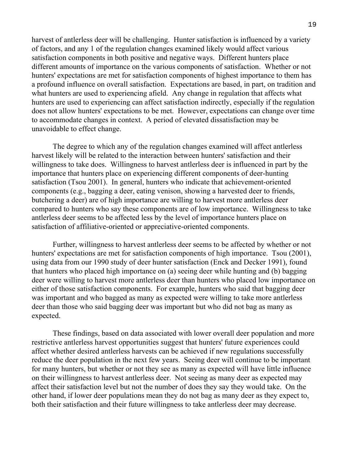harvest of antlerless deer will be challenging. Hunter satisfaction is influenced by a variety of factors, and any 1 of the regulation changes examined likely would affect various satisfaction components in both positive and negative ways. Different hunters place different amounts of importance on the various components of satisfaction. Whether or not hunters' expectations are met for satisfaction components of highest importance to them has a profound influence on overall satisfaction. Expectations are based, in part, on tradition and what hunters are used to experiencing afield. Any change in regulation that affects what hunters are used to experiencing can affect satisfaction indirectly, especially if the regulation does not allow hunters' expectations to be met. However, expectations can change over time to accommodate changes in context. A period of elevated dissatisfaction may be unavoidable to effect change.

The degree to which any of the regulation changes examined will affect antlerless harvest likely will be related to the interaction between hunters' satisfaction and their willingness to take does. Willingness to harvest antlerless deer is influenced in part by the importance that hunters place on experiencing different components of deer-hunting satisfaction (Tsou 2001). In general, hunters who indicate that achievement-oriented components (e.g., bagging a deer, eating venison, showing a harvested deer to friends, butchering a deer) are of high importance are willing to harvest more antlerless deer compared to hunters who say these components are of low importance. Willingness to take antlerless deer seems to be affected less by the level of importance hunters place on satisfaction of affiliative-oriented or appreciative-oriented components.

Further, willingness to harvest antlerless deer seems to be affected by whether or not hunters' expectations are met for satisfaction components of high importance. Tsou (2001), using data from our 1990 study of deer hunter satisfaction (Enck and Decker 1991), found that hunters who placed high importance on (a) seeing deer while hunting and (b) bagging deer were willing to harvest more antlerless deer than hunters who placed low importance on either of those satisfaction components. For example, hunters who said that bagging deer was important and who bagged as many as expected were willing to take more antlerless deer than those who said bagging deer was important but who did not bag as many as expected.

These findings, based on data associated with lower overall deer population and more restrictive antlerless harvest opportunities suggest that hunters' future experiences could affect whether desired antlerless harvests can be achieved if new regulations successfully reduce the deer population in the next few years. Seeing deer will continue to be important for many hunters, but whether or not they see as many as expected will have little influence on their willingness to harvest antlerless deer. Not seeing as many deer as expected may affect their satisfaction level but not the number of does they say they would take. On the other hand, if lower deer populations mean they do not bag as many deer as they expect to, both their satisfaction and their future willingness to take antlerless deer may decrease.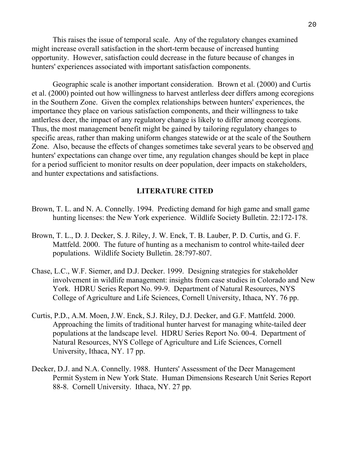This raises the issue of temporal scale. Any of the regulatory changes examined might increase overall satisfaction in the short-term because of increased hunting opportunity. However, satisfaction could decrease in the future because of changes in hunters' experiences associated with important satisfaction components.

Geographic scale is another important consideration. Brown et al. (2000) and Curtis et al. (2000) pointed out how willingness to harvest antlerless deer differs among ecoregions in the Southern Zone. Given the complex relationships between hunters' experiences, the importance they place on various satisfaction components, and their willingness to take antlerless deer, the impact of any regulatory change is likely to differ among ecoregions. Thus, the most management benefit might be gained by tailoring regulatory changes to specific areas, rather than making uniform changes statewide or at the scale of the Southern Zone. Also, because the effects of changes sometimes take several years to be observed and hunters' expectations can change over time, any regulation changes should be kept in place for a period sufficient to monitor results on deer population, deer impacts on stakeholders, and hunter expectations and satisfactions.

#### **LITERATURE CITED**

- Brown, T. L. and N. A. Connelly. 1994. Predicting demand for high game and small game hunting licenses: the New York experience. Wildlife Society Bulletin. 22:172-178.
- Brown, T. L., D. J. Decker, S. J. Riley, J. W. Enck, T. B. Lauber, P. D. Curtis, and G. F. Mattfeld. 2000. The future of hunting as a mechanism to control white-tailed deer populations. Wildlife Society Bulletin. 28:797-807.
- Chase, L.C., W.F. Siemer, and D.J. Decker. 1999. Designing strategies for stakeholder involvement in wildlife management: insights from case studies in Colorado and New York. HDRU Series Report No. 99-9. Department of Natural Resources, NYS College of Agriculture and Life Sciences, Cornell University, Ithaca, NY. 76 pp.
- Curtis, P.D., A.M. Moen, J.W. Enck, S.J. Riley, D.J. Decker, and G.F. Mattfeld. 2000. Approaching the limits of traditional hunter harvest for managing white-tailed deer populations at the landscape level. HDRU Series Report No. 00-4. Department of Natural Resources, NYS College of Agriculture and Life Sciences, Cornell University, Ithaca, NY. 17 pp.
- Decker, D.J. and N.A. Connelly. 1988. Hunters' Assessment of the Deer Management Permit System in New York State. Human Dimensions Research Unit Series Report 88-8. Cornell University. Ithaca, NY. 27 pp.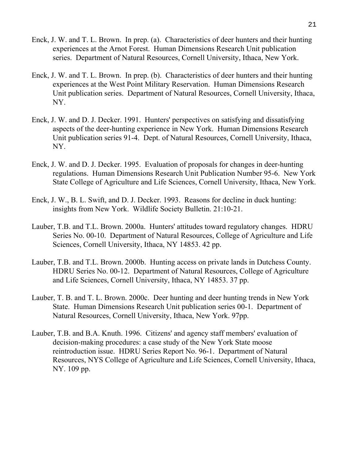- Enck, J. W. and T. L. Brown. In prep. (a). Characteristics of deer hunters and their hunting experiences at the Arnot Forest. Human Dimensions Research Unit publication series. Department of Natural Resources, Cornell University, Ithaca, New York.
- Enck, J. W. and T. L. Brown. In prep. (b). Characteristics of deer hunters and their hunting experiences at the West Point Military Reservation. Human Dimensions Research Unit publication series. Department of Natural Resources, Cornell University, Ithaca, NY.
- Enck, J. W. and D. J. Decker. 1991. Hunters' perspectives on satisfying and dissatisfying aspects of the deer-hunting experience in New York. Human Dimensions Research Unit publication series 91-4. Dept. of Natural Resources, Cornell University, Ithaca, NY.
- Enck, J. W. and D. J. Decker. 1995. Evaluation of proposals for changes in deer-hunting regulations. Human Dimensions Research Unit Publication Number 95-6. New York State College of Agriculture and Life Sciences, Cornell University, Ithaca, New York.
- Enck, J. W., B. L. Swift, and D. J. Decker. 1993. Reasons for decline in duck hunting: insights from New York. Wildlife Society Bulletin. 21:10-21.
- Lauber, T.B. and T.L. Brown. 2000a. Hunters' attitudes toward regulatory changes. HDRU Series No. 00-10. Department of Natural Resources, College of Agriculture and Life Sciences, Cornell University, Ithaca, NY 14853. 42 pp.
- Lauber, T.B. and T.L. Brown. 2000b. Hunting access on private lands in Dutchess County. HDRU Series No. 00-12. Department of Natural Resources, College of Agriculture and Life Sciences, Cornell University, Ithaca, NY 14853. 37 pp.
- Lauber, T. B. and T. L. Brown. 2000c. Deer hunting and deer hunting trends in New York State. Human Dimensions Research Unit publication series 00-1. Department of Natural Resources, Cornell University, Ithaca, New York. 97pp.
- Lauber, T.B. and B.A. Knuth. 1996. Citizens' and agency staff members' evaluation of decision-making procedures: a case study of the New York State moose reintroduction issue. HDRU Series Report No. 96-1. Department of Natural Resources, NYS College of Agriculture and Life Sciences, Cornell University, Ithaca, NY. 109 pp.